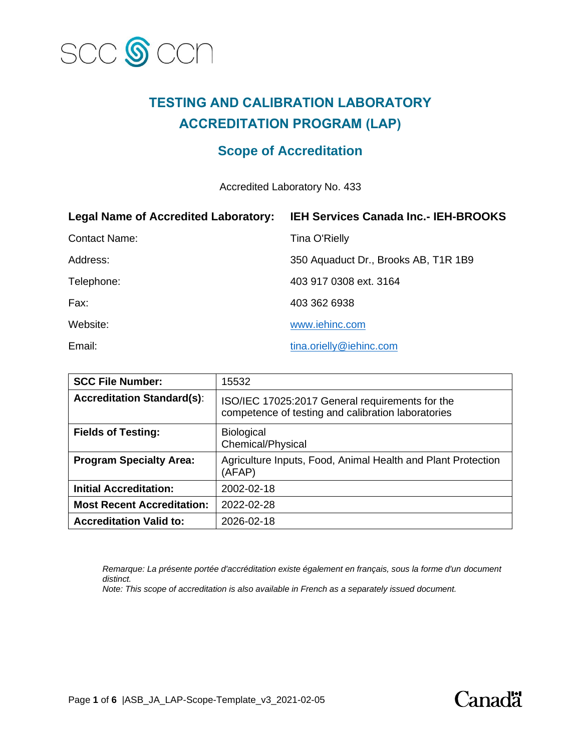

# **TESTING AND CALIBRATION LABORATORY ACCREDITATION PROGRAM (LAP)**

## **Scope of Accreditation**

Accredited Laboratory No. 433

| <b>Legal Name of Accredited Laboratory:</b> | <b>IEH Services Canada Inc.- IEH-BROOKS</b> |
|---------------------------------------------|---------------------------------------------|
| <b>Contact Name:</b>                        | <b>Tina O'Rielly</b>                        |
| Address:                                    | 350 Aquaduct Dr., Brooks AB, T1R 1B9        |
| Telephone:                                  | 403 917 0308 ext. 3164                      |
| Fax:                                        | 403 362 6938                                |
| Website:                                    | www.iehinc.com                              |
| Email:                                      | tina.orielly@iehinc.com                     |

| <b>SCC File Number:</b>           | 15532                                                                                                 |
|-----------------------------------|-------------------------------------------------------------------------------------------------------|
| <b>Accreditation Standard(s):</b> | ISO/IEC 17025:2017 General requirements for the<br>competence of testing and calibration laboratories |
| <b>Fields of Testing:</b>         | <b>Biological</b><br>Chemical/Physical                                                                |
| <b>Program Specialty Area:</b>    | Agriculture Inputs, Food, Animal Health and Plant Protection<br>(AFAP)                                |
| <b>Initial Accreditation:</b>     | 2002-02-18                                                                                            |
| <b>Most Recent Accreditation:</b> | 2022-02-28                                                                                            |
| <b>Accreditation Valid to:</b>    | 2026-02-18                                                                                            |

*Remarque: La présente portée d'accréditation existe également en français, sous la forme d'un document distinct.*

*Note: This scope of accreditation is also available in French as a separately issued document.*

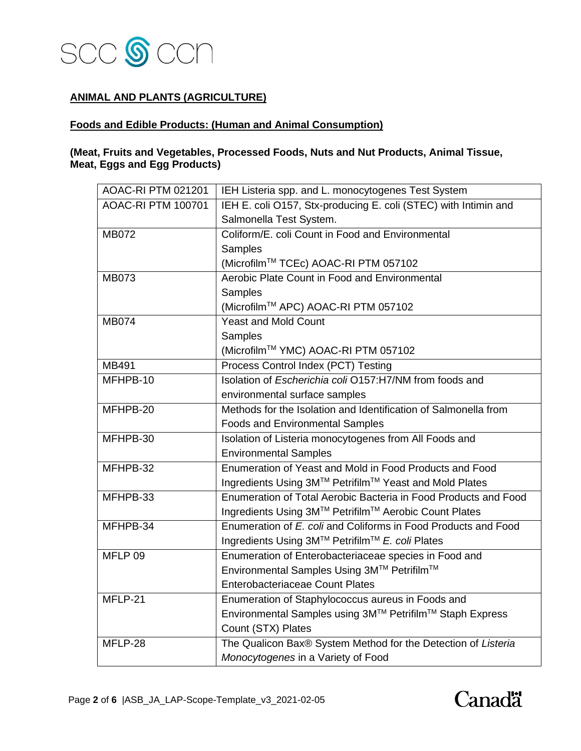

## **ANIMAL AND PLANTS (AGRICULTURE)**

## **Foods and Edible Products: (Human and Animal Consumption)**

## **(Meat, Fruits and Vegetables, Processed Foods, Nuts and Nut Products, Animal Tissue, Meat, Eggs and Egg Products)**

| AOAC-RI PTM 021201        | IEH Listeria spp. and L. monocytogenes Test System              |
|---------------------------|-----------------------------------------------------------------|
| <b>AOAC-RI PTM 100701</b> | IEH E. coli O157, Stx-producing E. coli (STEC) with Intimin and |
|                           | Salmonella Test System.                                         |
| <b>MB072</b>              | Coliform/E, coli Count in Food and Environmental                |
|                           | Samples                                                         |
|                           | (Microfilm™ TCEc) AOAC-RI PTM 057102                            |
| <b>MB073</b>              | Aerobic Plate Count in Food and Environmental                   |
|                           | Samples                                                         |
|                           | (Microfilm™ APC) AOAC-RI PTM 057102                             |
| <b>MB074</b>              | <b>Yeast and Mold Count</b>                                     |
|                           | Samples                                                         |
|                           | (Microfilm™ YMC) AOAC-RI PTM 057102                             |
| MB491                     | Process Control Index (PCT) Testing                             |
| MFHPB-10                  | Isolation of Escherichia coli O157:H7/NM from foods and         |
|                           | environmental surface samples                                   |
| MFHPB-20                  | Methods for the Isolation and Identification of Salmonella from |
|                           | <b>Foods and Environmental Samples</b>                          |
| MFHPB-30                  | Isolation of Listeria monocytogenes from All Foods and          |
|                           | <b>Environmental Samples</b>                                    |
| MFHPB-32                  | Enumeration of Yeast and Mold in Food Products and Food         |
|                           | Ingredients Using 3M™ Petrifilm™ Yeast and Mold Plates          |
| MFHPB-33                  | Enumeration of Total Aerobic Bacteria in Food Products and Food |
|                           | Ingredients Using 3M™ Petrifilm™ Aerobic Count Plates           |
| MFHPB-34                  | Enumeration of E. coli and Coliforms in Food Products and Food  |
|                           | Ingredients Using 3M™ Petrifilm™ E. coli Plates                 |
| MFLP 09                   | Enumeration of Enterobacteriaceae species in Food and           |
|                           | Environmental Samples Using 3M™ Petrifilm™                      |
|                           | <b>Enterobacteriaceae Count Plates</b>                          |
| MFLP-21                   | Enumeration of Staphylococcus aureus in Foods and               |
|                           | Environmental Samples using 3M™ Petrifilm™ Staph Express        |
|                           | Count (STX) Plates                                              |
| MFLP-28                   | The Qualicon Bax® System Method for the Detection of Listeria   |
|                           | Monocytogenes in a Variety of Food                              |

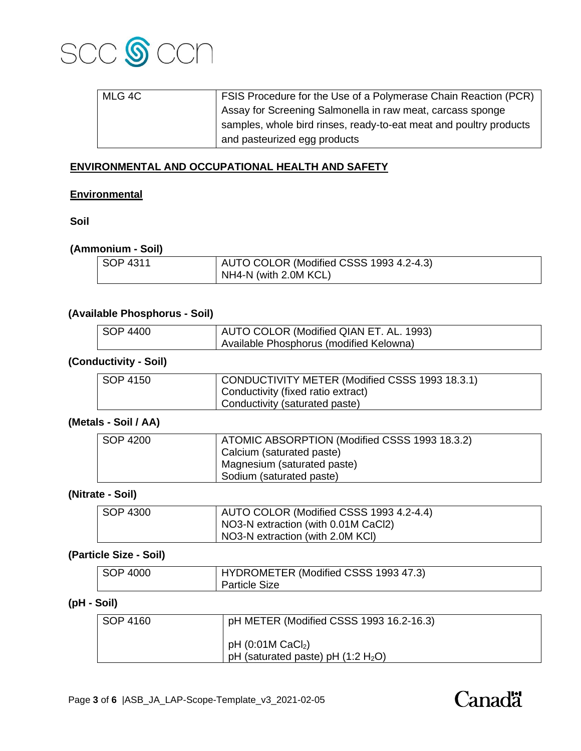

| MLG 4C | FSIS Procedure for the Use of a Polymerase Chain Reaction (PCR)    |
|--------|--------------------------------------------------------------------|
|        | Assay for Screening Salmonella in raw meat, carcass sponge         |
|        | samples, whole bird rinses, ready-to-eat meat and poultry products |
|        | and pasteurized egg products                                       |

## **ENVIRONMENTAL AND OCCUPATIONAL HEALTH AND SAFETY**

#### **Environmental**

**Soil**

#### **(Ammonium - Soil)**

| SOP 4311 | AUTO COLOR (Modified CSSS 1993 4.2-4.3) |
|----------|-----------------------------------------|
|          | NH4-N (with 2.0M KCL)                   |

## **(Available Phosphorus - Soil)**

| <b>SOP 4400</b> | AUTO COLOR (Modified QIAN ET. AL. 1993) |
|-----------------|-----------------------------------------|
|                 | Available Phosphorus (modified Kelowna) |

## **(Conductivity - Soil)**

| SOP 4150 | CONDUCTIVITY METER (Modified CSSS 1993 18.3.1) |
|----------|------------------------------------------------|
|          | Conductivity (fixed ratio extract)             |
|          | Conductivity (saturated paste)                 |

#### **(Metals - Soil / AA)**

| SOP 4200 | ATOMIC ABSORPTION (Modified CSSS 1993 18.3.2) |
|----------|-----------------------------------------------|
|          | Calcium (saturated paste)                     |
|          | Magnesium (saturated paste)                   |
|          | Sodium (saturated paste)                      |

#### **(Nitrate - Soil)**

| SOP 4300 | AUTO COLOR (Modified CSSS 1993 4.2-4.4) |
|----------|-----------------------------------------|
|          | NO3-N extraction (with 0.01M CaCl2)     |
|          | NO3-N extraction (with 2.0M KCI)        |

## **(Particle Size - Soil)**

| SOP 4000 | HYDROMETER (Modified CSSS 1993 47.3) |
|----------|--------------------------------------|
|          | <b>Particle Size</b>                 |

## **(pH - Soil)**

| SOP 4160 | pH METER (Modified CSSS 1993 16.2-16.3)                                |
|----------|------------------------------------------------------------------------|
|          | pH $(0:01M$ CaCl <sub>2</sub> )<br>pH (saturated paste) pH $(1:2 H2O)$ |

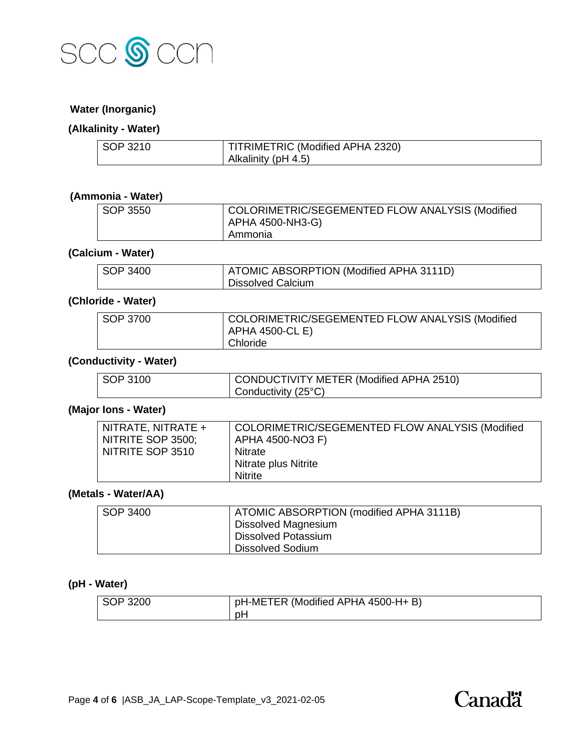

### **Water (Inorganic)**

## **(Alkalinity - Water)**

| SOP 3210 | TITRIMETRIC (Modified APHA 2320) |
|----------|----------------------------------|
|          | Alkalinity (pH 4.5)              |

## **(Ammonia - Water)**

| SOP 3550 | COLORIMETRIC/SEGEMENTED FLOW ANALYSIS (Modified |
|----------|-------------------------------------------------|
|          | APHA 4500-NH3-G)                                |
|          | Ammonia                                         |

#### **(Calcium - Water)**

| SOP 3400 | ATOMIC ABSORPTION (Modified APHA 3111D) |
|----------|-----------------------------------------|
|          | <b>Dissolved Calcium</b>                |

### **(Chloride - Water)**

| SOP 3700 | COLORIMETRIC/SEGEMENTED FLOW ANALYSIS (Modified |
|----------|-------------------------------------------------|
|          | APHA 4500-CL E)                                 |
|          | Chloride                                        |

## **(Conductivity - Water)**

| SOP 3100 | CONDUCTIVITY METER (Modified APHA 2510) |
|----------|-----------------------------------------|
|          | Conductivity $(25^{\circ}C)$            |

## **(Major Ions - Water)**

#### **(Metals - Water/AA)**

| SOP 3400 | ATOMIC ABSORPTION (modified APHA 3111B) |
|----------|-----------------------------------------|
|          | Dissolved Magnesium                     |
|          | <b>Dissolved Potassium</b>              |
|          | <b>Dissolved Sodium</b>                 |

#### **(pH - Water)**

| SOP 3200 | pH-METER (Modified APHA 4500-H+B) |
|----------|-----------------------------------|
|          | рH                                |

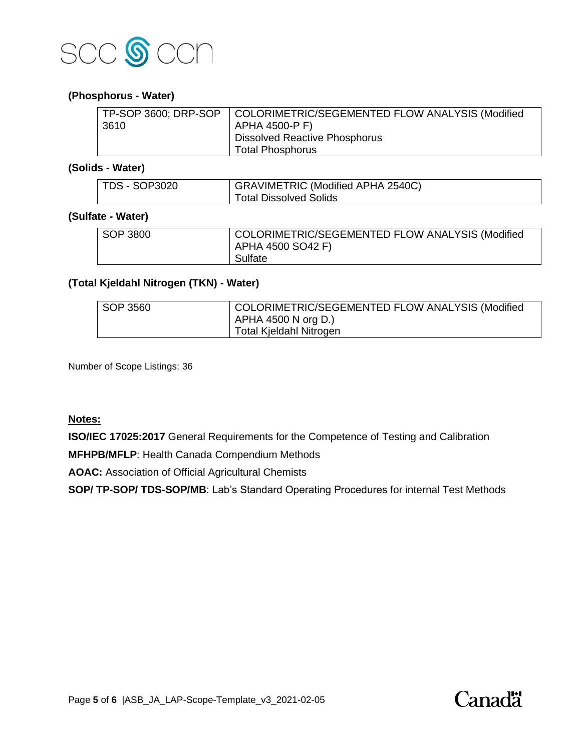

#### **(Phosphorus - Water)**

|      | TP-SOP 3600; DRP-SOP   COLORIMETRIC/SEGEMENTED FLOW ANALYSIS (Modified |
|------|------------------------------------------------------------------------|
| 3610 | APHA 4500-P F)                                                         |
|      | <sup>1</sup> Dissolved Reactive Phosphorus                             |
|      | <b>Total Phosphorus</b>                                                |

## **(Solids - Water)**

| <b>TDS - SOP3020</b> | GRAVIMETRIC (Modified APHA 2540C) |
|----------------------|-----------------------------------|
|                      | Total Dissolved Solids            |

## **(Sulfate - Water)**

| SOP 3800 | COLORIMETRIC/SEGEMENTED FLOW ANALYSIS (Modified |
|----------|-------------------------------------------------|
|          | APHA 4500 SO42 F)                               |
|          | Sulfate                                         |

## **(Total Kjeldahl Nitrogen (TKN) - Water)**

| SOP 3560 | COLORIMETRIC/SEGEMENTED FLOW ANALYSIS (Modified |
|----------|-------------------------------------------------|
|          | APHA 4500 N org D.)                             |
|          | Total Kjeldahl Nitrogen                         |
|          |                                                 |

Number of Scope Listings: 36

### **Notes:**

**ISO/IEC 17025:2017** General Requirements for the Competence of Testing and Calibration

**MFHPB/MFLP**: Health Canada Compendium Methods

**AOAC:** Association of Official Agricultural Chemists

**SOP/ TP-SOP/ TDS-SOP/MB**: Lab's Standard Operating Procedures for internal Test Methods